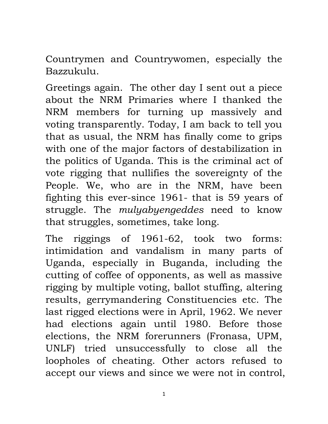Countrymen and Countrywomen, especially the Bazzukulu.

Greetings again. The other day I sent out a piece about the NRM Primaries where I thanked the NRM members for turning up massively and voting transparently. Today, I am back to tell you that as usual, the NRM has finally come to grips with one of the major factors of destabilization in the politics of Uganda. This is the criminal act of vote rigging that nullifies the sovereignty of the People. We, who are in the NRM, have been fighting this ever-since 1961- that is 59 years of struggle. The *mulyabyengeddes* need to know that struggles, sometimes, take long.

The riggings of 1961-62, took two forms: intimidation and vandalism in many parts of Uganda, especially in Buganda, including the cutting of coffee of opponents, as well as massive rigging by multiple voting, ballot stuffing, altering results, gerrymandering Constituencies etc. The last rigged elections were in April, 1962. We never had elections again until 1980. Before those elections, the NRM forerunners (Fronasa, UPM, UNLF) tried unsuccessfully to close all the loopholes of cheating. Other actors refused to accept our views and since we were not in control,

1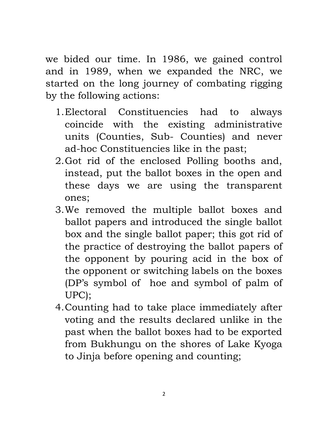we bided our time. In 1986, we gained control and in 1989, when we expanded the NRC, we started on the long journey of combating rigging by the following actions:

- 1.Electoral Constituencies had to always coincide with the existing administrative units (Counties, Sub- Counties) and never ad-hoc Constituencies like in the past;
- 2.Got rid of the enclosed Polling booths and, instead, put the ballot boxes in the open and these days we are using the transparent ones;
- 3.We removed the multiple ballot boxes and ballot papers and introduced the single ballot box and the single ballot paper; this got rid of the practice of destroying the ballot papers of the opponent by pouring acid in the box of the opponent or switching labels on the boxes (DP's symbol of hoe and symbol of palm of UPC);
- 4.Counting had to take place immediately after voting and the results declared unlike in the past when the ballot boxes had to be exported from Bukhungu on the shores of Lake Kyoga to Jinja before opening and counting;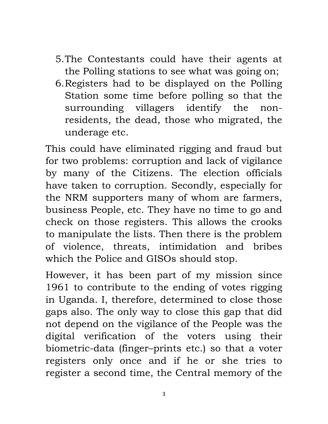- 5.The Contestants could have their agents at the Polling stations to see what was going on;
- 6.Registers had to be displayed on the Polling Station some time before polling so that the surrounding villagers identify the nonresidents, the dead, those who migrated, the underage etc.

This could have eliminated rigging and fraud but for two problems: corruption and lack of vigilance by many of the Citizens. The election officials have taken to corruption. Secondly, especially for the NRM supporters many of whom are farmers, business People, etc. They have no time to go and check on those registers. This allows the crooks to manipulate the lists. Then there is the problem of violence, threats, intimidation and bribes which the Police and GISOs should stop.

However, it has been part of my mission since 1961 to contribute to the ending of votes rigging in Uganda. I, therefore, determined to close those gaps also. The only way to close this gap that did not depend on the vigilance of the People was the digital verification of the voters using their biometric-data (finger–prints etc.) so that a voter registers only once and if he or she tries to register a second time, the Central memory of the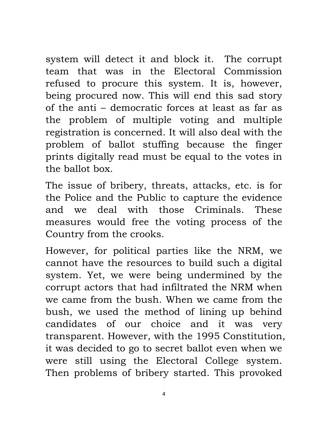system will detect it and block it. The corrupt team that was in the Electoral Commission refused to procure this system. It is, however, being procured now. This will end this sad story of the anti – democratic forces at least as far as the problem of multiple voting and multiple registration is concerned. It will also deal with the problem of ballot stuffing because the finger prints digitally read must be equal to the votes in the ballot box.

The issue of bribery, threats, attacks, etc. is for the Police and the Public to capture the evidence and we deal with those Criminals. These measures would free the voting process of the Country from the crooks.

However, for political parties like the NRM, we cannot have the resources to build such a digital system. Yet, we were being undermined by the corrupt actors that had infiltrated the NRM when we came from the bush. When we came from the bush, we used the method of lining up behind candidates of our choice and it was very transparent. However, with the 1995 Constitution, it was decided to go to secret ballot even when we were still using the Electoral College system. Then problems of bribery started. This provoked

4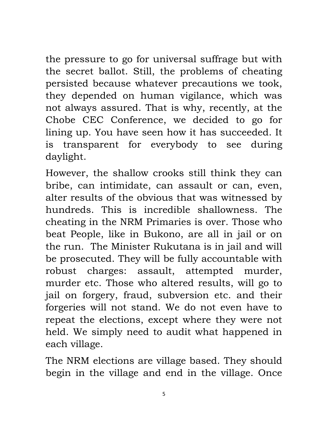the pressure to go for universal suffrage but with the secret ballot. Still, the problems of cheating persisted because whatever precautions we took, they depended on human vigilance, which was not always assured. That is why, recently, at the Chobe CEC Conference, we decided to go for lining up. You have seen how it has succeeded. It is transparent for everybody to see during daylight.

However, the shallow crooks still think they can bribe, can intimidate, can assault or can, even, alter results of the obvious that was witnessed by hundreds. This is incredible shallowness. The cheating in the NRM Primaries is over. Those who beat People, like in Bukono, are all in jail or on the run. The Minister Rukutana is in jail and will be prosecuted. They will be fully accountable with robust charges: assault, attempted murder, murder etc. Those who altered results, will go to jail on forgery, fraud, subversion etc. and their forgeries will not stand. We do not even have to repeat the elections, except where they were not held. We simply need to audit what happened in each village.

The NRM elections are village based. They should begin in the village and end in the village. Once